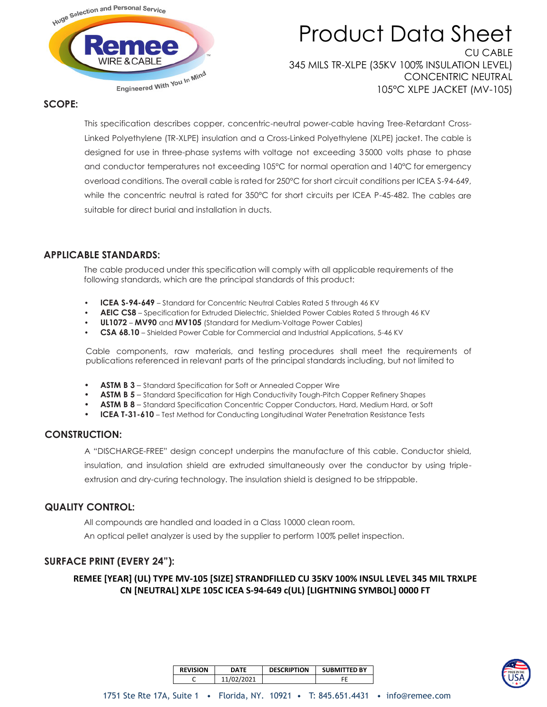

# Product Data Sheet CU CABLE

345 MILS TR-XLPE (35KV 100% INSULATION LEVEL) CONCENTRIC NEUTRAL 105°C XLPE JACKET (MV-105)

### **SCOPE:**

This specification describes copper, concentric-neutral power-cable having Tree-Retardant Cross-Linked Polyethylene (TR-XLPE) insulation and a Cross-Linked Polyethylene (XLPE) jacket. The cable is designed for use in three-phase systems with voltage not exceeding 35000 volts phase to phase and conductor temperatures not exceeding 105°C for normal operation and 140°C for emergency overload conditions. The overall cable is rated for 250°C for short circuit conditions per ICEA S-94-649, while the concentric neutral is rated for 350°C for short circuits per ICEA P-45-482. The cables are suitable for direct burial and installation in ducts.

## **APPLICABLE STANDARDS:**

The cable produced under this specification will comply with all applicable requirements of the following standards, which are the principal standards of this product:

- **ICEA S-94-649** Standard for Concentric Neutral Cables Rated 5 through 46 KV
- **AEIC CS8** Specification for Extruded Dielectric, Shielded Power Cables Rated 5 through 46 KV
- **UL1072 MV90** and **MV105** (Standard for Medium-Voltage Power Cables)
- **CSA 68.10**  Shielded Power Cable for Commercial and Industrial Applications, 5-46 KV

Cable components, raw materials, and testing procedures shall meet the requirements of publications referenced in relevant parts of the principal standards including, but not limited to

- **ASTM B 3**  Standard Specification for Soft or Annealed Copper Wire
- **ASTM B 5**  Standard Specification for High Conductivity Tough-Pitch Copper Refinery Shapes
- **ASTM B 8** Standard Specification Concentric Copper Conductors, Hard, Medium Hard, or Soft
- **ICEA T-31-610** Test Method for Conducting Longitudinal Water Penetration Resistance Tests

# **CONSTRUCTION:**

A "DISCHARGE-FREE" design concept underpins the manufacture of this cable. Conductor shield,

insulation, and insulation shield are extruded simultaneously over the conductor by using triple-

extrusion and dry-curing technology. The insulation shield is designed to be strippable.

### **QUALITY CONTROL:**

All compounds are handled and loaded in a Class 10000 clean room.

An optical pellet analyzer is used by the supplier to perform 100% pellet inspection.

## **SURFACE PRINT (EVERY 24"):**

**REMEE [YEAR] (UL) TYPE MV-105 [SIZE] STRANDFILLED CU 35KV 100% INSUL LEVEL 345 MIL TRXLPE CN [NEUTRAL] XLPE 105C ICEA S-94-649 c(UL) [LIGHTNING SYMBOL] 0000 FT** 



| <b>REVISION</b> | <b>DATF</b> | <b>DESCRIPTION</b> | <b>SUBMITTED BY</b> |  |  |
|-----------------|-------------|--------------------|---------------------|--|--|
| ∽               | 11/02/2021  |                    |                     |  |  |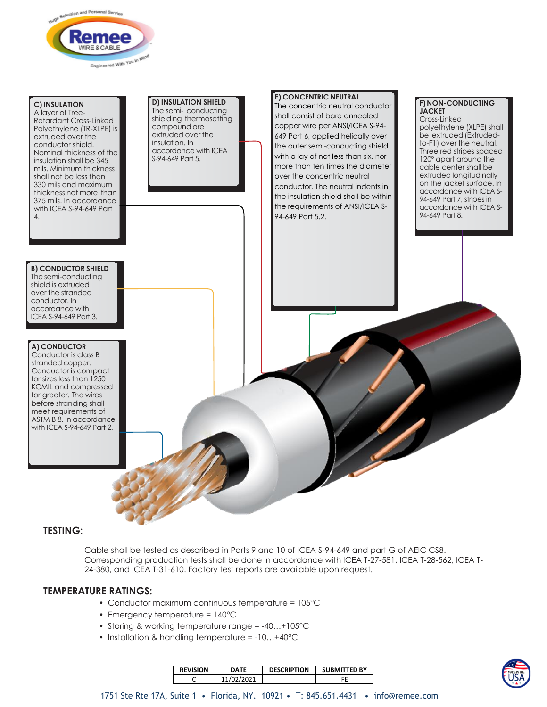

### **C) INSULATION**

A layer of Tree-Retardant Cross-Linked Polyethylene (TR-XLPE) is extruded over the conductor shield. Nominal thickness of the insulation shall be 345 mils. Minimum thickness shall not be less than 330 mils and maximum thickness not more than 375 mils. In accordance with ICEA S-94-649 Part 4.

#### **D) INSULATION SHIELD** The semi- conducting shielding thermosetting compound are extruded over the insulation. In accordance with ICEA S-94-649 Part 5.

#### **E) CONCENTRIC NEUTRAL**

The concentric neutral conductor shall consist of bare annealed copper wire per ANSI/ICEA S-94- 649 Part 6, applied helically over the outer semi-conducting shield with a lay of not less than six, nor more than ten times the diameter over the concentric neutral conductor. The neutral indents in the insulation shield shall be within the requirements of ANSI/ICEA S-94-649 Part 5.2.

### **F) NON-CONDUCTING JACKET**

Cross-Linked polyethylene (XLPE) shall be extruded (Extrudedto-Fill) over the neutral. Three red stripes spaced 120° apart around the cable center shall be extruded longitudinally on the jacket surface. In accordance with ICEA S-94-649 Part 7, stripes in accordance with ICEA S-94-649 Part 8.

**B) CONDUCTOR SHIELD** The semi-conducting shield is extruded over the stranded conductor. In accordance with ICEA S-94-649 Part 3.

#### **A) CONDUCTOR** Conductor is class B stranded copper. Conductor is compact for sizes less than 1250 KCMIL and compressed for greater. The wires before stranding shall meet requirements of ASTM B 8. In accordance with ICEA S-94-649 Part 2.

## **TESTING:**

Cable shall be tested as described in Parts 9 and 10 of ICEA S-94-649 and part G of AEIC CS8. Corresponding production tests shall be done in accordance with ICEA T-27-581, ICEA T-28-562, ICEA T-24-380, and ICEA T-31-610. Factory test reports are available upon request.

## **TEMPERATURE RATINGS:**

- Conductor maximum continuous temperature = 105°C
- Emergency temperature = 140°C
- Storing & working temperature range = -40…+105°C
- Installation & handling temperature = -10…+40°C

| <b>REVISION</b> | DATF       | <b>DESCRIPTION</b> | <b>SUBMITTED BY</b> |
|-----------------|------------|--------------------|---------------------|
|                 | 11/02/2021 |                    |                     |